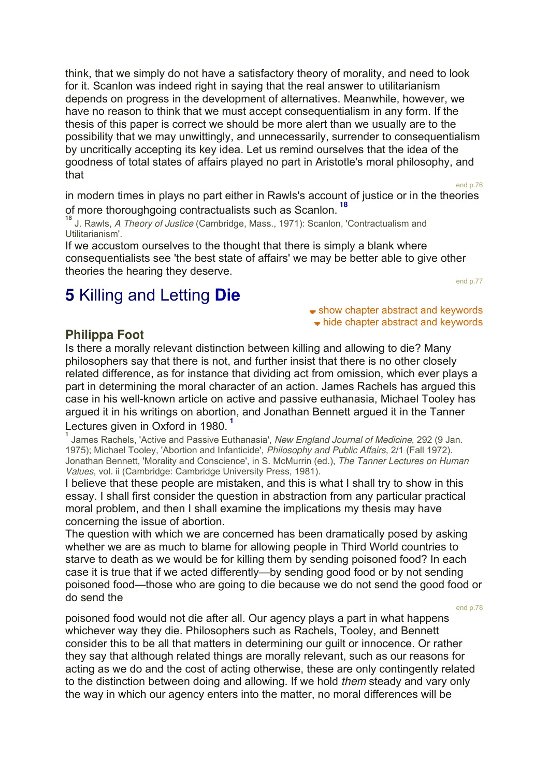think, that we simply do not have a satisfactory theory of morality, and need to look for it. Scanlon was indeed right in saying that the real answer to utilitarianism depends on progress in the development of alternatives. Meanwhile, however, we have no reason to think that we must accept consequentialism in any form. If the thesis of this paper is correct we should be more alert than we usually are to the possibility that we may unwittingly, and unnecessarily, surrender to consequentialism by uncritically accepting its key idea. Let us remind ourselves that the idea of the goodness of total states of affairs played no part in Aristotle's moral philosophy, and that

 $end n.76$ 

in modern times in plays no part either in Rawls's account of justice or in the theories of more thoroughgoing contractualists such as Scanlon. **18**

**<sup>18</sup>** J. Rawls, A Theory of Justice (Cambridge, Mass., 1971): Scanlon, 'Contractualism and Utilitarianism'.

If we accustom ourselves to the thought that there is simply a blank where consequentialists see 'the best state of affairs' we may be better able to give other theories the hearing they deserve.

end p.77

end p.78

# **5** Killing and Letting **Die**

 $\bullet$  show chapter abstract and keywords  $\bullet$  hide chapter abstract and keywords

### **Philippa Foot**

Is there a morally relevant distinction between killing and allowing to die? Many philosophers say that there is not, and further insist that there is no other closely related difference, as for instance that dividing act from omission, which ever plays a part in determining the moral character of an action. James Rachels has argued this case in his well-known article on active and passive euthanasia, Michael Tooley has argued it in his writings on abortion, and Jonathan Bennett argued it in the Tanner

Lectures given in Oxford in 1980. **<sup>1</sup>**

**1** James Rachels, 'Active and Passive Euthanasia', New England Journal of Medicine, 292 (9 Jan. 1975); Michael Tooley, 'Abortion and Infanticide', Philosophy and Public Affairs, 2/1 (Fall 1972). Jonathan Bennett, 'Morality and Conscience', in S. McMurrin (ed.), The Tanner Lectures on Human Values, vol. ii (Cambridge: Cambridge University Press, 1981).

I believe that these people are mistaken, and this is what I shall try to show in this essay. I shall first consider the question in abstraction from any particular practical moral problem, and then I shall examine the implications my thesis may have concerning the issue of abortion.

The question with which we are concerned has been dramatically posed by asking whether we are as much to blame for allowing people in Third World countries to starve to death as we would be for killing them by sending poisoned food? In each case it is true that if we acted differently—by sending good food or by not sending poisoned food—those who are going to die because we do not send the good food or do send the

poisoned food would not die after all. Our agency plays a part in what happens whichever way they die. Philosophers such as Rachels, Tooley, and Bennett consider this to be all that matters in determining our guilt or innocence. Or rather they say that although related things are morally relevant, such as our reasons for acting as we do and the cost of acting otherwise, these are only contingently related to the distinction between doing and allowing. If we hold them steady and vary only the way in which our agency enters into the matter, no moral differences will be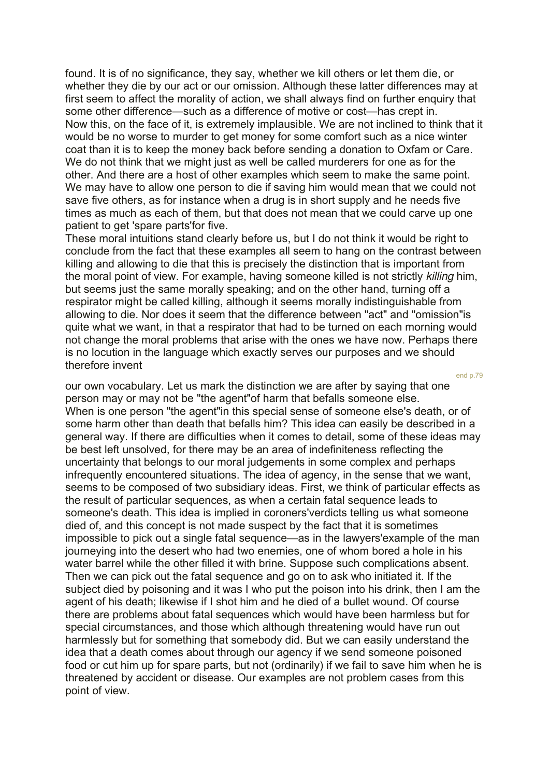found. It is of no significance, they say, whether we kill others or let them die, or whether they die by our act or our omission. Although these latter differences may at first seem to affect the morality of action, we shall always find on further enquiry that some other difference—such as a difference of motive or cost—has crept in. Now this, on the face of it, is extremely implausible. We are not inclined to think that it would be no worse to murder to get money for some comfort such as a nice winter coat than it is to keep the money back before sending a donation to Oxfam or Care. We do not think that we might just as well be called murderers for one as for the other. And there are a host of other examples which seem to make the same point. We may have to allow one person to die if saving him would mean that we could not save five others, as for instance when a drug is in short supply and he needs five times as much as each of them, but that does not mean that we could carve up one patient to get 'spare parts'for five.

These moral intuitions stand clearly before us, but I do not think it would be right to conclude from the fact that these examples all seem to hang on the contrast between killing and allowing to die that this is precisely the distinction that is important from the moral point of view. For example, having someone killed is not strictly killing him, but seems just the same morally speaking; and on the other hand, turning off a respirator might be called killing, although it seems morally indistinguishable from allowing to die. Nor does it seem that the difference between "act" and "omission"is quite what we want, in that a respirator that had to be turned on each morning would not change the moral problems that arise with the ones we have now. Perhaps there is no locution in the language which exactly serves our purposes and we should therefore invent

end p.79

our own vocabulary. Let us mark the distinction we are after by saying that one person may or may not be "the agent"of harm that befalls someone else. When is one person "the agent"in this special sense of someone else's death, or of some harm other than death that befalls him? This idea can easily be described in a general way. If there are difficulties when it comes to detail, some of these ideas may be best left unsolved, for there may be an area of indefiniteness reflecting the uncertainty that belongs to our moral judgements in some complex and perhaps infrequently encountered situations. The idea of agency, in the sense that we want, seems to be composed of two subsidiary ideas. First, we think of particular effects as the result of particular sequences, as when a certain fatal sequence leads to someone's death. This idea is implied in coroners'verdicts telling us what someone died of, and this concept is not made suspect by the fact that it is sometimes impossible to pick out a single fatal sequence—as in the lawyers'example of the man journeying into the desert who had two enemies, one of whom bored a hole in his water barrel while the other filled it with brine. Suppose such complications absent. Then we can pick out the fatal sequence and go on to ask who initiated it. If the subject died by poisoning and it was I who put the poison into his drink, then I am the agent of his death; likewise if I shot him and he died of a bullet wound. Of course there are problems about fatal sequences which would have been harmless but for special circumstances, and those which although threatening would have run out harmlessly but for something that somebody did. But we can easily understand the idea that a death comes about through our agency if we send someone poisoned food or cut him up for spare parts, but not (ordinarily) if we fail to save him when he is threatened by accident or disease. Our examples are not problem cases from this point of view.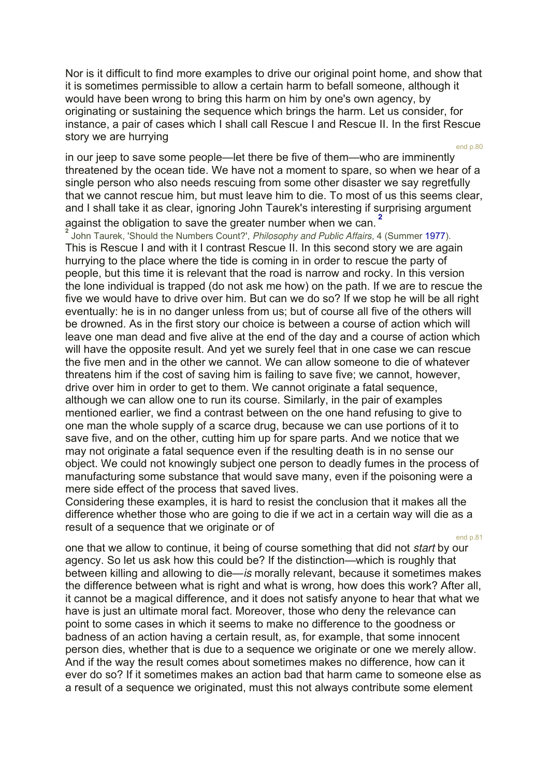Nor is it difficult to find more examples to drive our original point home, and show that it is sometimes permissible to allow a certain harm to befall someone, although it would have been wrong to bring this harm on him by one's own agency, by originating or sustaining the sequence which brings the harm. Let us consider, for instance, a pair of cases which I shall call Rescue I and Rescue II. In the first Rescue story we are hurrying end p.80

in our jeep to save some people—let there be five of them—who are imminently threatened by the ocean tide. We have not a moment to spare, so when we hear of a single person who also needs rescuing from some other disaster we say regretfully that we cannot rescue him, but must leave him to die. To most of us this seems clear, and I shall take it as clear, ignoring John Taurek's interesting if surprising argument against the obligation to save the greater number when we can. **<sup>2</sup>**

**2** John Taurek, 'Should the Numbers Count?', Philosophy and Public Affairs, 4 (Summer 1977). This is Rescue I and with it I contrast Rescue II. In this second story we are again hurrying to the place where the tide is coming in in order to rescue the party of people, but this time it is relevant that the road is narrow and rocky. In this version the lone individual is trapped (do not ask me how) on the path. If we are to rescue the five we would have to drive over him. But can we do so? If we stop he will be all right eventually: he is in no danger unless from us; but of course all five of the others will be drowned. As in the first story our choice is between a course of action which will leave one man dead and five alive at the end of the day and a course of action which will have the opposite result. And yet we surely feel that in one case we can rescue the five men and in the other we cannot. We can allow someone to die of whatever threatens him if the cost of saving him is failing to save five; we cannot, however, drive over him in order to get to them. We cannot originate a fatal sequence, although we can allow one to run its course. Similarly, in the pair of examples mentioned earlier, we find a contrast between on the one hand refusing to give to one man the whole supply of a scarce drug, because we can use portions of it to save five, and on the other, cutting him up for spare parts. And we notice that we may not originate a fatal sequence even if the resulting death is in no sense our object. We could not knowingly subject one person to deadly fumes in the process of manufacturing some substance that would save many, even if the poisoning were a mere side effect of the process that saved lives.

Considering these examples, it is hard to resist the conclusion that it makes all the difference whether those who are going to die if we act in a certain way will die as a result of a sequence that we originate or of end p.81

one that we allow to continue, it being of course something that did not start by our agency. So let us ask how this could be? If the distinction—which is roughly that between killing and allowing to die—is morally relevant, because it sometimes makes the difference between what is right and what is wrong, how does this work? After all, it cannot be a magical difference, and it does not satisfy anyone to hear that what we have is just an ultimate moral fact. Moreover, those who deny the relevance can point to some cases in which it seems to make no difference to the goodness or badness of an action having a certain result, as, for example, that some innocent person dies, whether that is due to a sequence we originate or one we merely allow. And if the way the result comes about sometimes makes no difference, how can it ever do so? If it sometimes makes an action bad that harm came to someone else as a result of a sequence we originated, must this not always contribute some element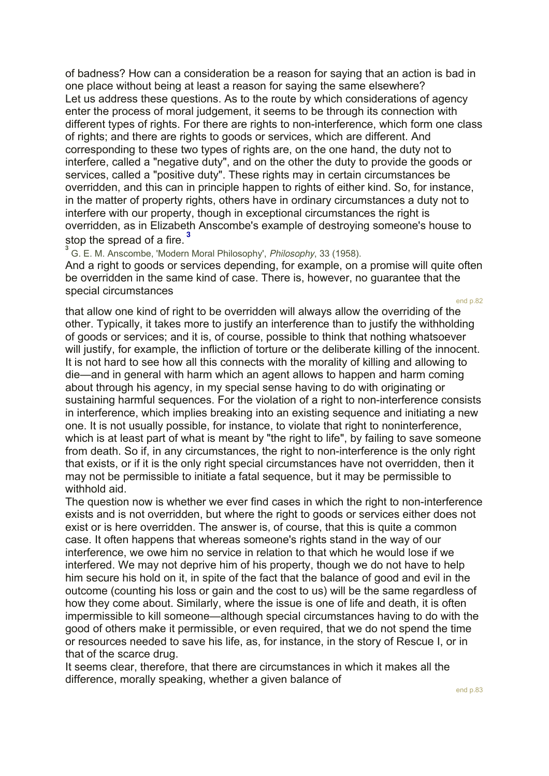of badness? How can a consideration be a reason for saying that an action is bad in one place without being at least a reason for saying the same elsewhere? Let us address these questions. As to the route by which considerations of agency enter the process of moral judgement, it seems to be through its connection with different types of rights. For there are rights to non-interference, which form one class of rights; and there are rights to goods or services, which are different. And corresponding to these two types of rights are, on the one hand, the duty not to interfere, called a "negative duty", and on the other the duty to provide the goods or services, called a "positive duty". These rights may in certain circumstances be overridden, and this can in principle happen to rights of either kind. So, for instance, in the matter of property rights, others have in ordinary circumstances a duty not to interfere with our property, though in exceptional circumstances the right is overridden, as in Elizabeth Anscombe's example of destroying someone's house to stop the spread of a fire. **<sup>3</sup> 3**

G. E. M. Anscombe, 'Modern Moral Philosophy', Philosophy, 33 (1958).

And a right to goods or services depending, for example, on a promise will quite often be overridden in the same kind of case. There is, however, no guarantee that the special circumstances end p.82

that allow one kind of right to be overridden will always allow the overriding of the other. Typically, it takes more to justify an interference than to justify the withholding of goods or services; and it is, of course, possible to think that nothing whatsoever will justify, for example, the infliction of torture or the deliberate killing of the innocent. It is not hard to see how all this connects with the morality of killing and allowing to die—and in general with harm which an agent allows to happen and harm coming about through his agency, in my special sense having to do with originating or sustaining harmful sequences. For the violation of a right to non-interference consists in interference, which implies breaking into an existing sequence and initiating a new one. It is not usually possible, for instance, to violate that right to noninterference, which is at least part of what is meant by "the right to life", by failing to save someone from death. So if, in any circumstances, the right to non-interference is the only right that exists, or if it is the only right special circumstances have not overridden, then it may not be permissible to initiate a fatal sequence, but it may be permissible to withhold aid.

The question now is whether we ever find cases in which the right to non-interference exists and is not overridden, but where the right to goods or services either does not exist or is here overridden. The answer is, of course, that this is quite a common case. It often happens that whereas someone's rights stand in the way of our interference, we owe him no service in relation to that which he would lose if we interfered. We may not deprive him of his property, though we do not have to help him secure his hold on it, in spite of the fact that the balance of good and evil in the outcome (counting his loss or gain and the cost to us) will be the same regardless of how they come about. Similarly, where the issue is one of life and death, it is often impermissible to kill someone—although special circumstances having to do with the good of others make it permissible, or even required, that we do not spend the time or resources needed to save his life, as, for instance, in the story of Rescue I, or in that of the scarce drug.

It seems clear, therefore, that there are circumstances in which it makes all the difference, morally speaking, whether a given balance of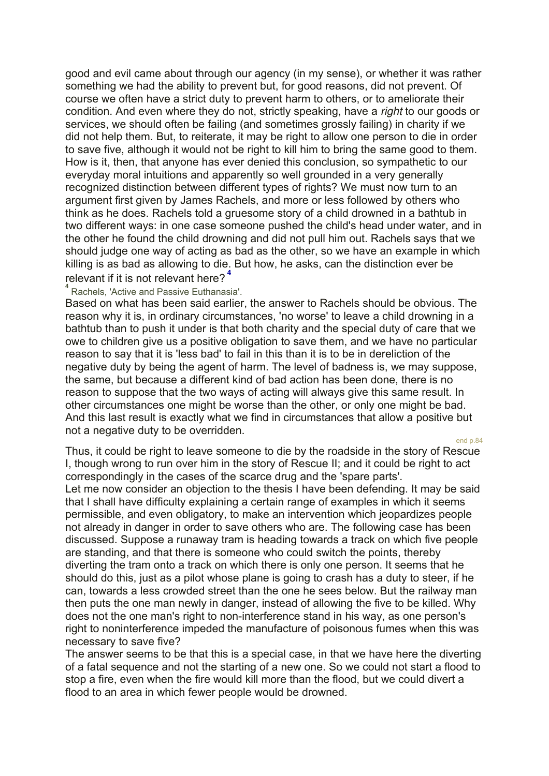good and evil came about through our agency (in my sense), or whether it was rather something we had the ability to prevent but, for good reasons, did not prevent. Of course we often have a strict duty to prevent harm to others, or to ameliorate their condition. And even where they do not, strictly speaking, have a right to our goods or services, we should often be failing (and sometimes grossly failing) in charity if we did not help them. But, to reiterate, it may be right to allow one person to die in order to save five, although it would not be right to kill him to bring the same good to them. How is it, then, that anyone has ever denied this conclusion, so sympathetic to our everyday moral intuitions and apparently so well grounded in a very generally recognized distinction between different types of rights? We must now turn to an argument first given by James Rachels, and more or less followed by others who think as he does. Rachels told a gruesome story of a child drowned in a bathtub in two different ways: in one case someone pushed the child's head under water, and in the other he found the child drowning and did not pull him out. Rachels says that we should judge one way of acting as bad as the other, so we have an example in which killing is as bad as allowing to die. But how, he asks, can the distinction ever be relevant if it is not relevant here? **<sup>4</sup>**

#### **4** Rachels, 'Active and Passive Euthanasia'.

Based on what has been said earlier, the answer to Rachels should be obvious. The reason why it is, in ordinary circumstances, 'no worse' to leave a child drowning in a bathtub than to push it under is that both charity and the special duty of care that we owe to children give us a positive obligation to save them, and we have no particular reason to say that it is 'less bad' to fail in this than it is to be in dereliction of the negative duty by being the agent of harm. The level of badness is, we may suppose, the same, but because a different kind of bad action has been done, there is no reason to suppose that the two ways of acting will always give this same result. In other circumstances one might be worse than the other, or only one might be bad. And this last result is exactly what we find in circumstances that allow a positive but not a negative duty to be overridden. end p.84

Thus, it could be right to leave someone to die by the roadside in the story of Rescue I, though wrong to run over him in the story of Rescue II; and it could be right to act correspondingly in the cases of the scarce drug and the 'spare parts'.

Let me now consider an objection to the thesis I have been defending. It may be said that I shall have difficulty explaining a certain range of examples in which it seems permissible, and even obligatory, to make an intervention which jeopardizes people not already in danger in order to save others who are. The following case has been discussed. Suppose a runaway tram is heading towards a track on which five people are standing, and that there is someone who could switch the points, thereby diverting the tram onto a track on which there is only one person. It seems that he should do this, just as a pilot whose plane is going to crash has a duty to steer, if he can, towards a less crowded street than the one he sees below. But the railway man then puts the one man newly in danger, instead of allowing the five to be killed. Why does not the one man's right to non-interference stand in his way, as one person's right to noninterference impeded the manufacture of poisonous fumes when this was necessary to save five?

The answer seems to be that this is a special case, in that we have here the diverting of a fatal sequence and not the starting of a new one. So we could not start a flood to stop a fire, even when the fire would kill more than the flood, but we could divert a flood to an area in which fewer people would be drowned.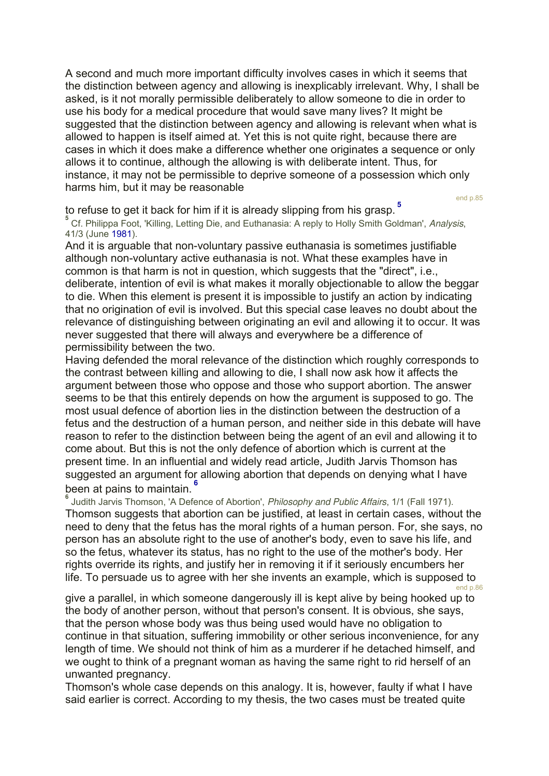A second and much more important difficulty involves cases in which it seems that the distinction between agency and allowing is inexplicably irrelevant. Why, I shall be asked, is it not morally permissible deliberately to allow someone to die in order to use his body for a medical procedure that would save many lives? It might be suggested that the distinction between agency and allowing is relevant when what is allowed to happen is itself aimed at. Yet this is not quite right, because there are cases in which it does make a difference whether one originates a sequence or only allows it to continue, although the allowing is with deliberate intent. Thus, for instance, it may not be permissible to deprive someone of a possession which only harms him, but it may be reasonable

end p.85

to refuse to get it back for him if it is already slipping from his grasp. **<sup>5</sup> 5**

Cf. Philippa Foot, 'Killing, Letting Die, and Euthanasia: A reply to Holly Smith Goldman', Analysis, 41/3 (June 1981).

And it is arguable that non-voluntary passive euthanasia is sometimes justifiable although non-voluntary active euthanasia is not. What these examples have in common is that harm is not in question, which suggests that the "direct", i.e., deliberate, intention of evil is what makes it morally objectionable to allow the beggar to die. When this element is present it is impossible to justify an action by indicating that no origination of evil is involved. But this special case leaves no doubt about the relevance of distinguishing between originating an evil and allowing it to occur. It was never suggested that there will always and everywhere be a difference of permissibility between the two.

Having defended the moral relevance of the distinction which roughly corresponds to the contrast between killing and allowing to die, I shall now ask how it affects the argument between those who oppose and those who support abortion. The answer seems to be that this entirely depends on how the argument is supposed to go. The most usual defence of abortion lies in the distinction between the destruction of a fetus and the destruction of a human person, and neither side in this debate will have reason to refer to the distinction between being the agent of an evil and allowing it to come about. But this is not the only defence of abortion which is current at the present time. In an influential and widely read article, Judith Jarvis Thomson has suggested an argument for allowing abortion that depends on denying what I have been at pains to maintain. **<sup>6</sup>**

<sup>6</sup> Judith Jarvis Thomson, 'A Defence of Abortion', *Philosophy and Public Affairs*, 1/1 (Fall 1971). Thomson suggests that abortion can be justified, at least in certain cases, without the need to deny that the fetus has the moral rights of a human person. For, she says, no person has an absolute right to the use of another's body, even to save his life, and so the fetus, whatever its status, has no right to the use of the mother's body. Her rights override its rights, and justify her in removing it if it seriously encumbers her life. To persuade us to agree with her she invents an example, which is supposed to

end p.86

give a parallel, in which someone dangerously ill is kept alive by being hooked up to the body of another person, without that person's consent. It is obvious, she says, that the person whose body was thus being used would have no obligation to continue in that situation, suffering immobility or other serious inconvenience, for any length of time. We should not think of him as a murderer if he detached himself, and we ought to think of a pregnant woman as having the same right to rid herself of an unwanted pregnancy.

Thomson's whole case depends on this analogy. It is, however, faulty if what I have said earlier is correct. According to my thesis, the two cases must be treated quite